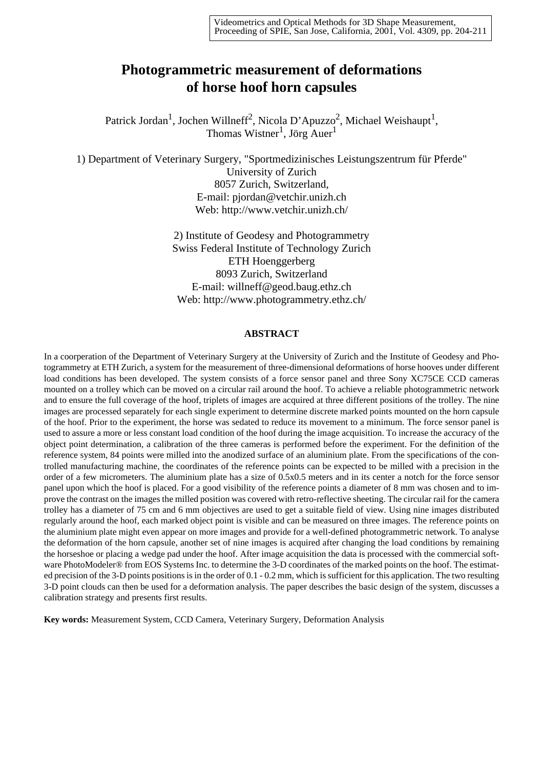# **Photogrammetric measurement of deformations of horse hoof horn capsules**

Patrick Jordan<sup>1</sup>, Jochen Willneff<sup>2</sup>, Nicola D'Apuzzo<sup>2</sup>, Michael Weishaupt<sup>1</sup>, Thomas Wistner<sup>1</sup>, Jörg Auer<sup>1</sup>

1) Department of Veterinary Surgery, "Sportmedizinisches Leistungszentrum für Pferde" University of Zurich 8057 Zurich, Switzerland, E-mail: pjordan@vetchir.unizh.ch Web: http://www.vetchir.unizh.ch/

> 2) Institute of Geodesy and Photogrammetry Swiss Federal Institute of Technology Zurich ETH Hoenggerberg 8093 Zurich, Switzerland E-mail: willneff@geod.baug.ethz.ch Web: http://www.photogrammetry.ethz.ch/

#### **ABSTRACT**

In a coorperation of the Department of Veterinary Surgery at the University of Zurich and the Institute of Geodesy and Photogrammetry at ETH Zurich, a system for the measurement of three-dimensional deformations of horse hooves under different load conditions has been developed. The system consists of a force sensor panel and three Sony XC75CE CCD cameras mounted on a trolley which can be moved on a circular rail around the hoof. To achieve a reliable photogrammetric network and to ensure the full coverage of the hoof, triplets of images are acquired at three different positions of the trolley. The nine images are processed separately for each single experiment to determine discrete marked points mounted on the horn capsule of the hoof. Prior to the experiment, the horse was sedated to reduce its movement to a minimum. The force sensor panel is used to assure a more or less constant load condition of the hoof during the image acquisition. To increase the accuracy of the object point determination, a calibration of the three cameras is performed before the experiment. For the definition of the reference system, 84 points were milled into the anodized surface of an aluminium plate. From the specifications of the controlled manufacturing machine, the coordinates of the reference points can be expected to be milled with a precision in the order of a few micrometers. The aluminium plate has a size of 0.5x0.5 meters and in its center a notch for the force sensor panel upon which the hoof is placed. For a good visibility of the reference points a diameter of 8 mm was chosen and to improve the contrast on the images the milled position was covered with retro-reflective sheeting. The circular rail for the camera trolley has a diameter of 75 cm and 6 mm objectives are used to get a suitable field of view. Using nine images distributed regularly around the hoof, each marked object point is visible and can be measured on three images. The reference points on the aluminium plate might even appear on more images and provide for a well-defined photogrammetric network. To analyse the deformation of the horn capsule, another set of nine images is acquired after changing the load conditions by remaining the horseshoe or placing a wedge pad under the hoof. After image acquisition the data is processed with the commercial software PhotoModeler® from EOS Systems Inc. to determine the 3-D coordinates of the marked points on the hoof. The estimated precision of the 3-D points positions is in the order of 0.1 - 0.2 mm, which is sufficient for this application. The two resulting 3-D point clouds can then be used for a deformation analysis. The paper describes the basic design of the system, discusses a calibration strategy and presents first results.

**Key words:** Measurement System, CCD Camera, Veterinary Surgery, Deformation Analysis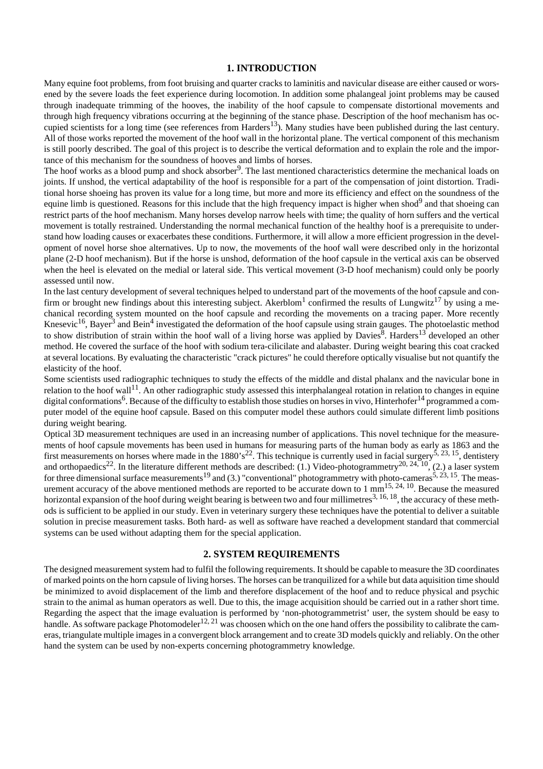#### **1. INTRODUCTION**

Many equine foot problems, from foot bruising and quarter cracks to laminitis and navicular disease are either caused or worsened by the severe loads the feet experience during locomotion. In addition some phalangeal joint problems may be caused through inadequate trimming of the hooves, the inability of the hoof capsule to compensate distortional movements and through high frequency vibrations occurring at the beginning of the stance phase. Description of the hoof mechanism has occupied scientists for a long time (see references from Harders<sup>13</sup>). Many studies have been published during the last century. All of those works reported the movement of the hoof wall in the horizontal plane. The vertical component of this mechanism is still poorly described. The goal of this project is to describe the vertical deformation and to explain the role and the importance of this mechanism for the soundness of hooves and limbs of horses.

The hoof works as a blood pump and shock absorber<sup>9</sup>. The last mentioned characteristics determine the mechanical loads on joints. If unshod, the vertical adaptability of the hoof is responsible for a part of the compensation of joint distortion. Traditional horse shoeing has proven its value for a long time, but more and more its efficiency and effect on the soundness of the equine limb is questioned. Reasons for this include that the high frequency impact is higher when shod<sup>9</sup> and that shoeing can restrict parts of the hoof mechanism. Many horses develop narrow heels with time; the quality of horn suffers and the vertical movement is totally restrained. Understanding the normal mechanical function of the healthy hoof is a prerequisite to understand how loading causes or exacerbates these conditions. Furthermore, it will allow a more efficient progression in the development of novel horse shoe alternatives. Up to now, the movements of the hoof wall were described only in the horizontal plane (2-D hoof mechanism). But if the horse is unshod, deformation of the hoof capsule in the vertical axis can be observed when the heel is elevated on the medial or lateral side. This vertical movement (3-D hoof mechanism) could only be poorly assessed until now.

In the last century development of several techniques helped to understand part of the movements of the hoof capsule and confirm or brought new findings about this interesting subject. Akerblom<sup>1</sup> confirmed the results of Lungwitz<sup>17</sup> by using a mechanical recording system mounted on the hoof capsule and recording the movements on a tracing paper. More recently Knesevic<sup>16</sup>, Bayer<sup>3</sup> and Bein<sup>4</sup> investigated the deformation of the hoof capsule using strain gauges. The photoelastic method to show distribution of strain within the hoof wall of a living horse was applied by Davies<sup>8</sup>. Harders<sup>13</sup> developed an other method. He covered the surface of the hoof with sodium tera-cilicilate and alabaster. During weight bearing this coat cracked at several locations. By evaluating the characteristic "crack pictures" he could therefore optically visualise but not quantify the elasticity of the hoof.

Some scientists used radiographic techniques to study the effects of the middle and distal phalanx and the navicular bone in relation to the hoof wall<sup>11</sup>. An other radiographic study assessed this interphalangeal rotation in relation to changes in equine digital conformations<sup>6</sup>. Because of the difficulty to establish those studies on horses in vivo, Hinterhofer<sup>14</sup> programmed a computer model of the equine hoof capsule. Based on this computer model these authors could simulate different limb positions during weight bearing.

Optical 3D measurement techniques are used in an increasing number of applications. This novel technique for the measurements of hoof capsule movements has been used in humans for measuring parts of the human body as early as 1863 and the first measurements on horses where made in the 1880's<sup>22</sup>. This technique is currently used in facial surgery<sup>5, 23, 15</sup>, dentistery and orthopaedics<sup>22</sup>. In the literature different methods are described: (1.) Video-photogrammetry<sup>20, 24, 10</sup>, (2.) a laser system for three dimensional surface measurements<sup>19</sup> and (3.) "conventional" photogrammetry with photo-cameras<sup>5, 23, 15</sup>. The measurement accuracy of the above mentioned methods are reported to be accurate down to 1 mm<sup>15, 24, 10</sup>. Because the measured horizontal expansion of the hoof during weight bearing is between two and four millimetres<sup>3, 16, 18</sup>, the accuracy of these methods is sufficient to be applied in our study. Even in veterinary surgery these techniques have the potential to deliver a suitable solution in precise measurement tasks. Both hard- as well as software have reached a development standard that commercial systems can be used without adapting them for the special application.

#### **2. SYSTEM REQUIREMENTS**

The designed measurement system had to fulfil the following requirements. It should be capable to measure the 3D coordinates of marked points on the horn capsule of living horses. The horses can be tranquilized for a while but data aquisition time should be minimized to avoid displacement of the limb and therefore displacement of the hoof and to reduce physical and psychic strain to the animal as human operators as well. Due to this, the image acquisition should be carried out in a rather short time. Regarding the aspect that the image evaluation is performed by 'non-photogrammetrist' user, the system should be easy to handle. As software package Photomodeler<sup>12, 21</sup> was choosen which on the one hand offers the possibility to calibrate the cameras, triangulate multiple images in a convergent block arrangement and to create 3D models quickly and reliably. On the other hand the system can be used by non-experts concerning photogrammetry knowledge.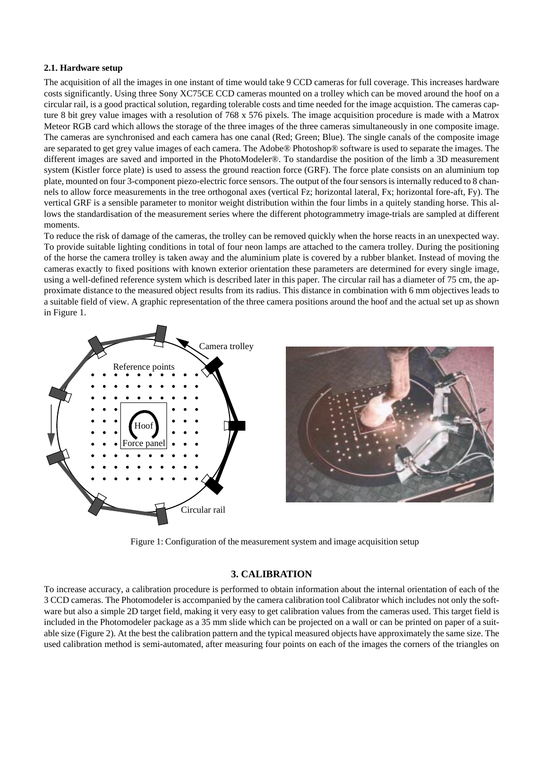#### **2.1. Hardware setup**

The acquisition of all the images in one instant of time would take 9 CCD cameras for full coverage. This increases hardware costs significantly. Using three Sony XC75CE CCD cameras mounted on a trolley which can be moved around the hoof on a circular rail, is a good practical solution, regarding tolerable costs and time needed for the image acquistion. The cameras capture 8 bit grey value images with a resolution of 768 x 576 pixels. The image acquisition procedure is made with a Matrox Meteor RGB card which allows the storage of the three images of the three cameras simultaneously in one composite image. The cameras are synchronised and each camera has one canal (Red; Green; Blue). The single canals of the composite image are separated to get grey value images of each camera. The Adobe® Photoshop® software is used to separate the images. The different images are saved and imported in the PhotoModeler®. To standardise the position of the limb a 3D measurement system (Kistler force plate) is used to assess the ground reaction force (GRF). The force plate consists on an aluminium top plate, mounted on four 3-component piezo-electric force sensors. The output of the four sensors is internally reduced to 8 channels to allow force measurements in the tree orthogonal axes (vertical Fz; horizontal lateral, Fx; horizontal fore-aft, Fy). The vertical GRF is a sensible parameter to monitor weight distribution within the four limbs in a quitely standing horse. This allows the standardisation of the measurement series where the different photogrammetry image-trials are sampled at different moments.

To reduce the risk of damage of the cameras, the trolley can be removed quickly when the horse reacts in an unexpected way. To provide suitable lighting conditions in total of four neon lamps are attached to the camera trolley. During the positioning of the horse the camera trolley is taken away and the aluminium plate is covered by a rubber blanket. Instead of moving the cameras exactly to fixed positions with known exterior orientation these parameters are determined for every single image, using a well-defined reference system which is described later in this paper. The circular rail has a diameter of 75 cm, the approximate distance to the measured object results from its radius. This distance in combination with 6 mm objectives leads to a suitable field of view. A graphic representation of the three camera positions around the hoof and the actual set up as shown in [Figure 1](#page-2-0).



<span id="page-2-0"></span>Figure 1: Configuration of the measurement system and image acquisition setup

# **3. CALIBRATION**

To increase accuracy, a calibration procedure is performed to obtain information about the internal orientation of each of the 3 CCD cameras. The Photomodeler is accompanied by the camera calibration tool Calibrator which includes not only the software but also a simple 2D target field, making it very easy to get calibration values from the cameras used. This target field is included in the Photomodeler package as a 35 mm slide which can be projected on a wall or can be printed on paper of a suitable size ([Figure 2](#page-3-0)). At the best the calibration pattern and the typical measured objects have approximately the same size. The used calibration method is semi-automated, after measuring four points on each of the images the corners of the triangles on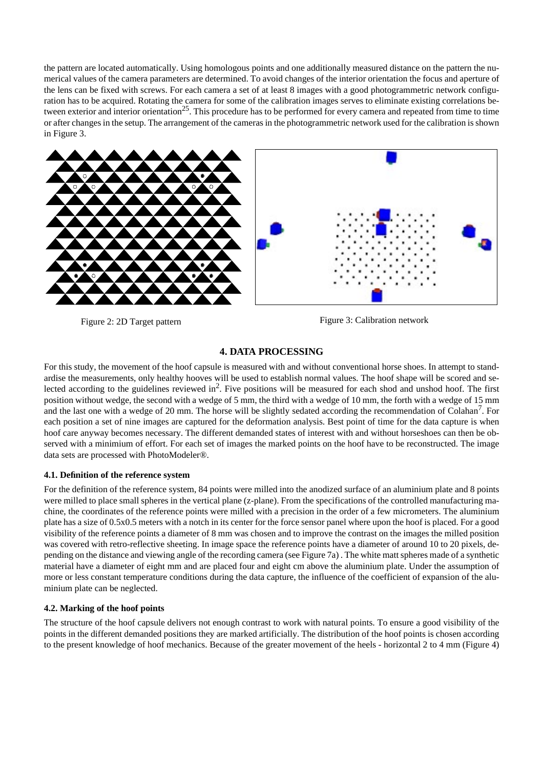the pattern are located automatically. Using homologous points and one additionally measured distance on the pattern the numerical values of the camera parameters are determined. To avoid changes of the interior orientation the focus and aperture of the lens can be fixed with screws. For each camera a set of at least 8 images with a good photogrammetric network configuration has to be acquired. Rotating the camera for some of the calibration images serves to eliminate existing correlations between exterior and interior orientation<sup>25</sup>. This procedure has to be performed for every camera and repeated from time to time or after changes in the setup. The arrangement of the cameras in the photogrammetric network used for the calibration is shown in [Figure 3](#page-3-1).



<span id="page-3-0"></span>Figure 2: 2D Target pattern Figure 3: Calibration network

# <span id="page-3-1"></span>**4. DATA PROCESSING**

For this study, the movement of the hoof capsule is measured with and without conventional horse shoes. In attempt to standardise the measurements, only healthy hooves will be used to establish normal values. The hoof shape will be scored and selected according to the guidelines reviewed in<sup>2</sup>. Five positions will be measured for each shod and unshod hoof. The first position without wedge, the second with a wedge of 5 mm, the third with a wedge of 10 mm, the forth with a wedge of 15 mm and the last one with a wedge of 20 mm. The horse will be slightly sedated according the recommendation of Colahan'. For each position a set of nine images are captured for the deformation analysis. Best point of time for the data capture is when hoof care anyway becomes necessary. The different demanded states of interest with and without horseshoes can then be observed with a minimium of effort. For each set of images the marked points on the hoof have to be reconstructed. The image data sets are processed with PhotoModeler®.

## **4.1. Definition of the reference system**

For the definition of the reference system, 84 points were milled into the anodized surface of an aluminium plate and 8 points were milled to place small spheres in the vertical plane (z-plane). From the specifications of the controlled manufacturing machine, the coordinates of the reference points were milled with a precision in the order of a few micrometers. The aluminium plate has a size of 0.5x0.5 meters with a notch in its center for the force sensor panel where upon the hoof is placed. For a good visibility of the reference points a diameter of 8 mm was chosen and to improve the contrast on the images the milled position was covered with retro-reflective sheeting. In image space the reference points have a diameter of around 10 to 20 pixels, depending on the distance and viewing angle of the recording camera (see [Figure 7a](#page-5-0)) . The white matt spheres made of a synthetic material have a diameter of eight mm and are placed four and eight cm above the aluminium plate. Under the assumption of more or less constant temperature conditions during the data capture, the influence of the coefficient of expansion of the aluminium plate can be neglected.

# **4.2. Marking of the hoof points**

The structure of the hoof capsule delivers not enough contrast to work with natural points. To ensure a good visibility of the points in the different demanded positions they are marked artificially. The distribution of the hoof points is chosen according to the present knowledge of hoof mechanics. Because of the greater movement of the heels - horizontal 2 to 4 mm [\(Figure 4\)](#page-4-0)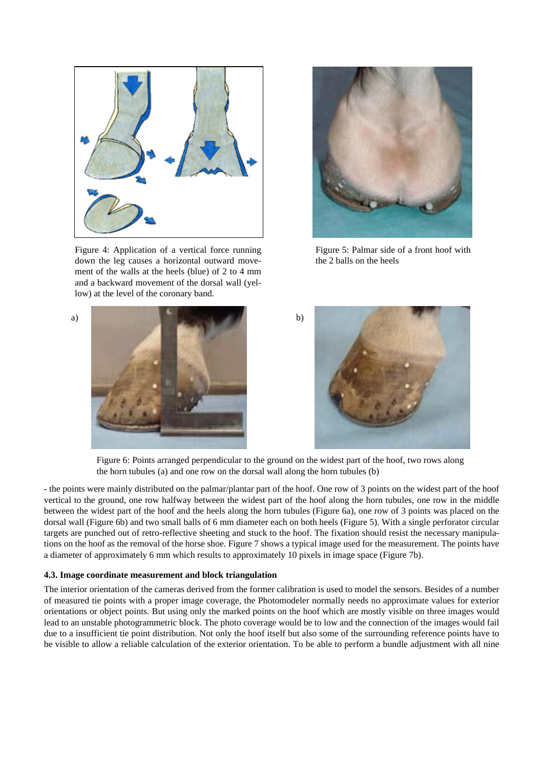

<span id="page-4-0"></span>Figure 4: Application of a vertical force running down the leg causes a horizontal outward movement of the walls at the heels (blue) of 2 to 4 mm and a backward movement of the dorsal wall (yellow) at the level of the coronary band.

<span id="page-4-2"></span>

Figure 5: Palmar side of a front hoof with the 2 balls on the heels





Figure 6: Points arranged perpendicular to the ground on the widest part of the hoof, two rows along the horn tubules (a) and one row on the dorsal wall along the horn tubules (b)

<span id="page-4-1"></span>- the points were mainly distributed on the palmar/plantar part of the hoof. One row of 3 points on the widest part of the hoof vertical to the ground, one row halfway between the widest part of the hoof along the horn tubules, one row in the middle between the widest part of the hoof and the heels along the horn tubules ([Figure 6a](#page-4-1)), one row of 3 points was placed on the dorsal wall [\(Figure 6b](#page-4-1)) and two small balls of 6 mm diameter each on both heels [\(Figure 5\)](#page-4-2). With a single perforator circular targets are punched out of retro-reflective sheeting and stuck to the hoof. The fixation should resist the necessary manipulations on the hoof as the removal of the horse shoe. [Figure 7](#page-5-0) shows a typical image used for the measurement. The points have a diameter of approximately 6 mm which results to approximately 10 pixels in image space ([Figure 7](#page-5-0)b).

#### **4.3. Image coordinate measurement and block triangulation**

The interior orientation of the cameras derived from the former calibration is used to model the sensors. Besides of a number of measured tie points with a proper image coverage, the Photomodeler normally needs no approximate values for exterior orientations or object points. But using only the marked points on the hoof which are mostly visible on three images would lead to an unstable photogrammetric block. The photo coverage would be to low and the connection of the images would fail due to a insufficient tie point distribution. Not only the hoof itself but also some of the surrounding reference points have to be visible to allow a reliable calculation of the exterior orientation. To be able to perform a bundle adjustment with all nine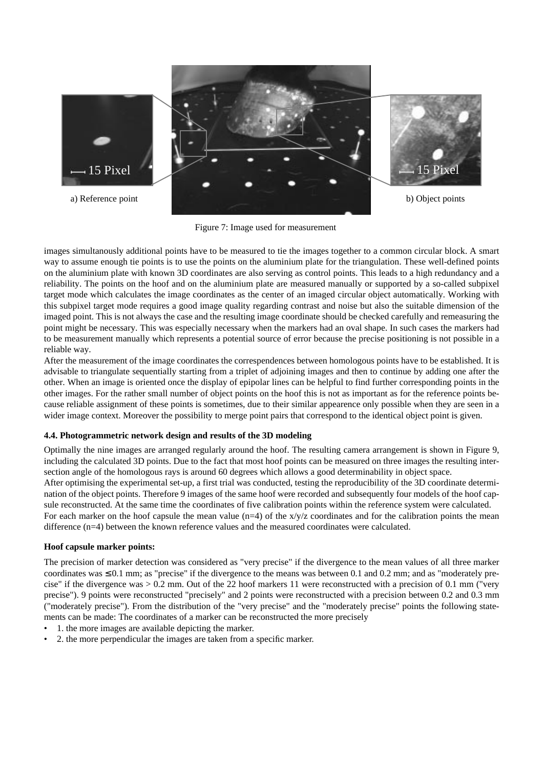

Figure 7: Image used for measurement

<span id="page-5-0"></span>images simultanously additional points have to be measured to tie the images together to a common circular block. A smart way to assume enough tie points is to use the points on the aluminium plate for the triangulation. These well-defined points on the aluminium plate with known 3D coordinates are also serving as control points. This leads to a high redundancy and a reliability. The points on the hoof and on the aluminium plate are measured manually or supported by a so-called subpixel target mode which calculates the image coordinates as the center of an imaged circular object automatically. Working with this subpixel target mode requires a good image quality regarding contrast and noise but also the suitable dimension of the imaged point. This is not always the case and the resulting image coordinate should be checked carefully and remeasuring the point might be necessary. This was especially necessary when the markers had an oval shape. In such cases the markers had to be measurement manually which represents a potential source of error because the precise positioning is not possible in a reliable way.

After the measurement of the image coordinates the correspendences between homologous points have to be established. It is advisable to triangulate sequentially starting from a triplet of adjoining images and then to continue by adding one after the other. When an image is oriented once the display of epipolar lines can be helpful to find further corresponding points in the other images. For the rather small number of object points on the hoof this is not as important as for the reference points because reliable assignment of these points is sometimes, due to their similar appearence only possible when they are seen in a wider image context. Moreover the possibility to merge point pairs that correspond to the identical object point is given.

# **4.4. Photogrammetric network design and results of the 3D modeling**

Optimally the nine images are arranged regularly around the hoof. The resulting camera arrangement is shown in [Figure 9,](#page-6-0) including the calculated 3D points. Due to the fact that most hoof points can be measured on three images the resulting intersection angle of the homologous rays is around 60 degrees which allows a good determinability in object space. After optimising the experimental set-up, a first trial was conducted, testing the reproducibility of the 3D coordinate determination of the object points. Therefore 9 images of the same hoof were recorded and subsequently four models of the hoof capsule reconstructed. At the same time the coordinates of five calibration points within the reference system were calculated. For each marker on the hoof capsule the mean value  $(n=4)$  of the x/y/z coordinates and for the calibration points the mean difference (n=4) between the known reference values and the measured coordinates were calculated.

## **Hoof capsule marker points:**

The precision of marker detection was considered as "very precise" if the divergence to the mean values of all three marker coordinates was  $\leq 0.1$  mm; as "precise" if the divergence to the means was between 0.1 and 0.2 mm; and as "moderately precise" if the divergence was > 0.2 mm. Out of the 22 hoof markers 11 were reconstructed with a precision of 0.1 mm ("very precise"). 9 points were reconstructed "precisely" and 2 points were reconstructed with a precision between 0.2 and 0.3 mm ("moderately precise"). From the distribution of the "very precise" and the "moderately precise" points the following statements can be made: The coordinates of a marker can be reconstructed the more precisely

- 1. the more images are available depicting the marker.
- 2. the more perpendicular the images are taken from a specific marker.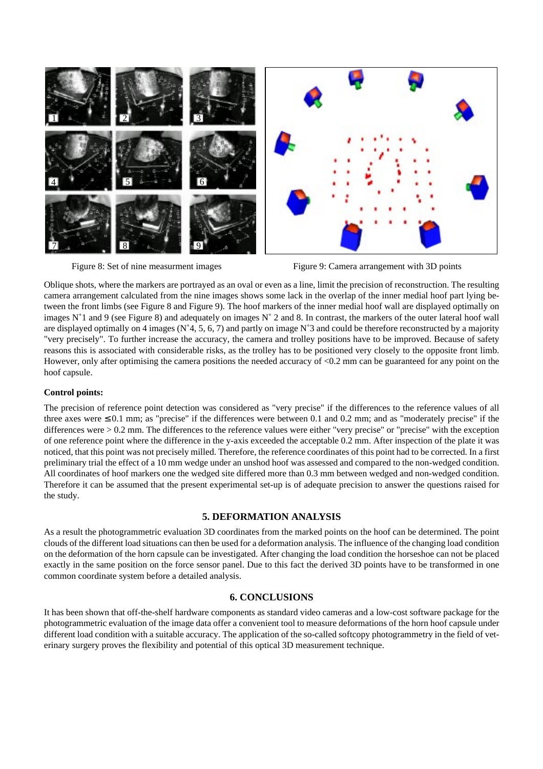

<span id="page-6-1"></span><span id="page-6-0"></span>

Oblique shots, where the markers are portrayed as an oval or even as a line, limit the precision of reconstruction. The resulting camera arrangement calculated from the nine images shows some lack in the overlap of the inner medial hoof part lying between the front limbs (see [Figure 8](#page-6-1) and [Figure 9\)](#page-6-0). The hoof markers of the inner medial hoof wall are displayed optimally on images  $N^{\circ}$  and 9 (see [Figure 8](#page-6-1)) and adequately on images  $N^{\circ}$  2 and 8. In contrast, the markers of the outer lateral hoof wall are displayed optimally on 4 images ( $N^{\circ}4$ , 5, 6, 7) and partly on image  $N^{\circ}3$  and could be therefore reconstructed by a majority "very precisely". To further increase the accuracy, the camera and trolley positions have to be improved. Because of safety reasons this is associated with considerable risks, as the trolley has to be positioned very closely to the opposite front limb. However, only after optimising the camera positions the needed accuracy of <0.2 mm can be guaranteed for any point on the hoof capsule.

## **Control points:**

The precision of reference point detection was considered as "very precise" if the differences to the reference values of all three axes were  $\leq 0.1$  mm; as "precise" if the differences were between 0.1 and 0.2 mm; and as "moderately precise" if the differences were > 0.2 mm. The differences to the reference values were either "very precise" or "precise" with the exception of one reference point where the difference in the y-axis exceeded the acceptable 0.2 mm. After inspection of the plate it was noticed, that this point was not precisely milled. Therefore, the reference coordinates of this point had to be corrected. In a first preliminary trial the effect of a 10 mm wedge under an unshod hoof was assessed and compared to the non-wedged condition. All coordinates of hoof markers one the wedged site differed more than 0.3 mm between wedged and non-wedged condition. Therefore it can be assumed that the present experimental set-up is of adequate precision to answer the questions raised for the study.

# **5. DEFORMATION ANALYSIS**

As a result the photogrammetric evaluation 3D coordinates from the marked points on the hoof can be determined. The point clouds of the different load situations can then be used for a deformation analysis. The influence of the changing load condition on the deformation of the horn capsule can be investigated. After changing the load condition the horseshoe can not be placed exactly in the same position on the force sensor panel. Due to this fact the derived 3D points have to be transformed in one common coordinate system before a detailed analysis.

## **6. CONCLUSIONS**

It has been shown that off-the-shelf hardware components as standard video cameras and a low-cost software package for the photogrammetric evaluation of the image data offer a convenient tool to measure deformations of the horn hoof capsule under different load condition with a suitable accuracy. The application of the so-called softcopy photogrammetry in the field of veterinary surgery proves the flexibility and potential of this optical 3D measurement technique.